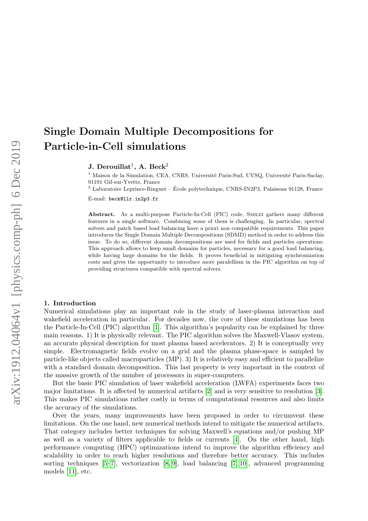# Single Domain Multiple Decompositions for Particle-in-Cell simulations

J. Derouillat<sup>1</sup>, A. Beck<sup>2</sup>

 $<sup>1</sup>$  Maison de la Simulation, CEA, CNRS, Université Paris-Sud, UVSQ, Université Paris-Saclay,</sup> 91191 Gif-sur-Yvette, France

<sup>2</sup> Laboratoire Leprince-Ringuet – Ecole polytechnique, CNRS-IN2P3, Palaiseau 91128, France ´

E-mail: beck@llr.in2p3.fr

Abstract. As a multi-purpose Particle-In-Cell (PIC) code, Smilei gathers many different features in a single software. Combining some of them is challenging. In particular, spectral solvers and patch based load balancing have a priori non compatible requirements. This paper introduces the Single Domain Multiple Decompositions (SDMD) method in order to address this issue. To do so, different domain decompositions are used for fields and particles operations. This approach allows to keep small domains for particles, necessary for a good load balancing, while having large domains for the fields. It proves beneficial in mitigating synchronization costs and gives the opportunity to introduce more paralellism in the PIC algorithm on top of providing structures compatible with spectral solvers.

# 1. Introduction

Numerical simulations play an important role in the study of laser-plasma interaction and wakefield acceleration in particular. For decades now, the core of these simulations has been the Particle-In-Cell (PIC) algorithm [\[1\]](#page-6-0). This algorithm's popularity can be explained by three main reasons. 1) It is physically relevant. The PIC algorithm solves the Maxwell-Vlasov system, an accurate physical description for most plasma based accelerators. 2) It is conceptually very simple. Electromagnetic fields evolve on a grid and the plasma phase-space is sampled by particle-like objects called macroparticles (MP). 3) It is relatively easy and efficient to parallelize with a standard domain decomposition. This last property is very important in the context of the massive growth of the number of processors in super-computers.

But the basic PIC simulation of laser wakefield acceleration (LWFA) experiments faces two major limitations. It is affected by numerical artifacts [\[2\]](#page-6-1) and is very sensitive to resolution [\[3\]](#page-6-2). This makes PIC simulations rather costly in terms of computational resources and also limits the accuracy of the simulations.

Over the years, many improvements have been proposed in order to circumvent these limitations. On the one hand, new numerical methods intend to mitigate the numerical artifacts. That category includes better techniques for solving Maxwell's equations and/or pushing MP as well as a variety of filters applicable to fields or currents [\[4\]](#page-6-3). On the other hand, high performance computing (HPC) optimizations intend to improve the algorithm efficiency and scalability in order to reach higher resolutions and therefore better accuracy. This includes sorting techniques  $[5-7]$  $[5-7]$ , vectorization  $[8, 9]$  $[8, 9]$ , load balancing  $[7, 10]$  $[7, 10]$ , advanced programming models [\[11\]](#page-6-9), etc.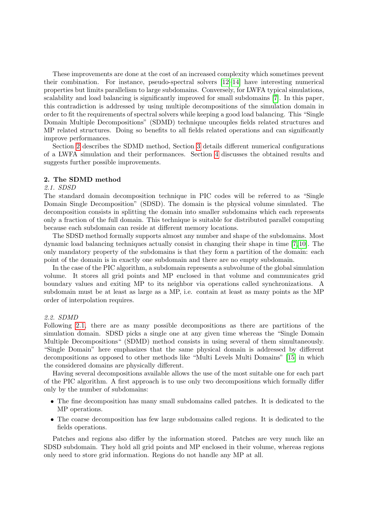These improvements are done at the cost of an increased complexity which sometimes prevent their combination. For instance, pseudo-spectral solvers [\[12–](#page-6-10)[14\]](#page-6-11) have interesting numerical properties but limits parallelism to large subdomains. Conversely, for LWFA typical simulations, scalability and load balancing is significantly improved for small subdomains [\[7\]](#page-6-5). In this paper, this contradiction is addressed by using multiple decompositions of the simulation domain in order to fit the requirements of spectral solvers while keeping a good load balancing. This "Single Domain Multiple Decompositions" (SDMD) technique uncouples fields related structures and MP related structures. Doing so benefits to all fields related operations and can significantly improve performances.

Section [2](#page-1-0) describes the SDMD method, Section [3](#page-2-0) details different numerical configurations of a LWFA simulation and their performances. Section [4](#page-5-0) discusses the obtained results and suggests further possible improvements.

# <span id="page-1-0"></span>2. The SDMD method

# <span id="page-1-1"></span>2.1. SDSD

The standard domain decomposition technique in PIC codes will be referred to as "Single Domain Single Decomposition" (SDSD). The domain is the physical volume simulated. The decomposition consists in splitting the domain into smaller subdomains which each represents only a fraction of the full domain. This technique is suitable for distributed parallel computing because each subdomain can reside at different memory locations.

The SDSD method formally supports almost any number and shape of the subdomains. Most dynamic load balancing techniques actually consist in changing their shape in time [\[7,](#page-6-5) [10\]](#page-6-8). The only mandatory property of the subdomains is that they form a partition of the domain: each point of the domain is in exactly one subdomain and there are no empty subdomain.

In the case of the PIC algorithm, a subdomain represents a subvolume of the global simulation volume. It stores all grid points and MP enclosed in that volume and communicates grid boundary values and exiting MP to its neighbor via operations called synchronizations. A subdomain must be at least as large as a MP, i.e. contain at least as many points as the MP order of interpolation requires.

#### <span id="page-1-2"></span>2.2. SDMD

Following [2.1,](#page-1-1) there are as many possible decompositions as there are partitions of the simulation domain. SDSD picks a single one at any given time whereas the "Single Domain Multiple Decompositions" (SDMD) method consists in using several of them simultaneously. "Single Domain" here emphasizes that the same physical domain is addressed by different decompositions as opposed to other methods like "Multi Levels Multi Domains" [\[15\]](#page-6-12) in which the considered domains are physically different.

Having several decompositions available allows the use of the most suitable one for each part of the PIC algorithm. A first approach is to use only two decompositions which formally differ only by the number of subdomains:

- The fine decomposition has many small subdomains called patches. It is dedicated to the MP operations.
- The coarse decomposition has few large subdomains called regions. It is dedicated to the fields operations.

Patches and regions also differ by the information stored. Patches are very much like an SDSD subdomain. They hold all grid points and MP enclosed in their volume, whereas regions only need to store grid information. Regions do not handle any MP at all.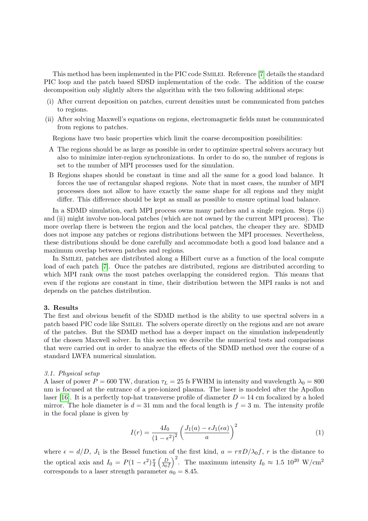This method has been implemented in the PIC code Smilei. Reference [\[7\]](#page-6-5) details the standard PIC loop and the patch based SDSD implementation of the code. The addition of the coarse decomposition only slightly alters the algorithm with the two following additional steps:

- (i) After current deposition on patches, current densities must be communicated from patches to regions.
- (ii) After solving Maxwell's equations on regions, electromagnetic fields must be communicated from regions to patches.

Regions have two basic properties which limit the coarse decomposition possibilities:

- A The regions should be as large as possible in order to optimize spectral solvers accuracy but also to minimize inter-region synchronizations. In order to do so, the number of regions is set to the number of MPI processes used for the simulation.
- B Regions shapes should be constant in time and all the same for a good load balance. It forces the use of rectangular shaped regions. Note that in most cases, the number of MPI processes does not allow to have exactly the same shape for all regions and they might differ. This difference should be kept as small as possible to ensure optimal load balance.

In a SDMD simulation, each MPI process owns many patches and a single region. Steps (i) and (ii) might involve non-local patches (which are not owned by the current MPI process). The more overlap there is between the region and the local patches, the cheaper they are. SDMD does not impose any patches or regions distributions between the MPI processes. Nevertheless, these distributions should be done carefully and accommodate both a good load balance and a maximum overlap between patches and regions.

In Smilei, patches are distributed along a Hilbert curve as a function of the local compute load of each patch [\[7\]](#page-6-5). Once the patches are distributed, regions are distributed according to which MPI rank owns the most patches overlapping the considered region. This means that even if the regions are constant in time, their distribution between the MPI ranks is not and depends on the patches distribution.

# <span id="page-2-0"></span>3. Results

The first and obvious benefit of the SDMD method is the ability to use spectral solvers in a patch based PIC code like Smilei. The solvers operate directly on the regions and are not aware of the patches. But the SDMD method has a deeper impact on the simulation independently of the chosen Maxwell solver. In this section we describe the numerical tests and comparisons that were carried out in order to analyze the effects of the SDMD method over the course of a standard LWFA numerical simulation.

## 3.1. Physical setup

A laser of power  $P = 600$  TW, duration  $\tau_L = 25$  fs FWHM in intensity and wavelength  $\lambda_0 = 800$ nm is focused at the entrance of a pre-ionized plasma. The laser is modeled after the Apollon laser [\[16\]](#page-6-13). It is a perfectly top-hat transverse profile of diameter  $D = 14$  cm focalized by a holed mirror. The hole diameter is  $d = 31$  mm and the focal length is  $f = 3$  m. The intensity profile in the focal plane is given by

$$
I(r) = \frac{4I_0}{(1 - \epsilon^2)^2} \left(\frac{J_1(a) - \epsilon J_1(\epsilon a)}{a}\right)^2
$$
 (1)

where  $\epsilon = d/D$ ,  $J_1$  is the Bessel function of the first kind,  $a = r\pi D/\lambda_0 f$ , r is the distance to the optical axis and  $I_0 = P(1 - \epsilon^2)^{\frac{\pi}{4}}$  $rac{\pi}{4}$   $\left(\frac{D}{\lambda_0}\right)$  $\overline{\lambda_0 f}$  $\int_{0}^{2}$ . The maximum intensity  $I_0 \approx 1.5 \; 10^{20} \; \mathrm{W/cm^2}$ corresponds to a laser strength parameter  $a_0 = 8.45$ .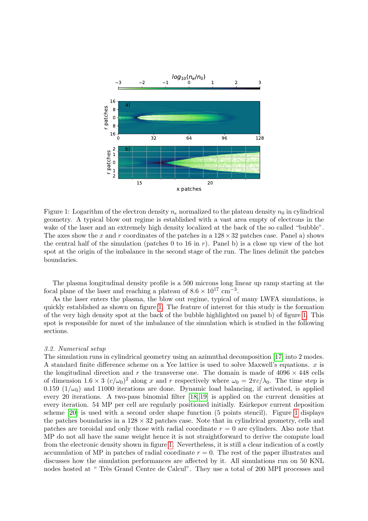<span id="page-3-0"></span>

Figure 1: Logarithm of the electron density  $n_e$  normalized to the plateau density  $n_0$  in cylindrical geometry. A typical blow out regime is established with a vast area empty of electrons in the wake of the laser and an extremely high density localized at the back of the so called "bubble". The axes show the x and r coordinates of the patches in a  $128 \times 32$  patches case. Panel a) shows the central half of the simulation (patches 0 to 16 in r). Panel b) is a close up view of the hot spot at the origin of the imbalance in the second stage of the run. The lines delimit the patches boundaries.

The plasma longitudinal density profile is a 500 microns long linear up ramp starting at the focal plane of the laser and reaching a plateau of  $8.6 \times 10^{17}$  cm<sup>-3</sup>.

As the laser enters the plasma, the blow out regime, typical of many LWFA simulations, is quickly established as shown on figure [1.](#page-3-0) The feature of interest for this study is the formation of the very high density spot at the back of the bubble highlighted on panel b) of figure [1.](#page-3-0) This spot is responsible for most of the imbalance of the simulation which is studied in the following sections.

# 3.2. Numerical setup

The simulation runs in cylindrical geometry using an azimuthal decomposition [\[17\]](#page-6-14) into 2 modes. A standard finite difference scheme on a Yee lattice is used to solve Maxwell's equations.  $x$  is the longitudinal direction and r the transverse one. The domain is made of  $4096 \times 448$  cells of dimension  $1.6 \times 3$   $(c/\omega_0)^2$  along x and r respectively where  $\omega_0 = 2\pi c/\lambda_0$ . The time step is 0.159  $(1/\omega_0)$  and 11000 iterations are done. Dynamic load balancing, if activated, is applied every 20 iterations. A two-pass binomial filter [\[18,](#page-6-15) [19\]](#page-6-16) is applied on the current densities at every iteration. 54 MP per cell are regularly positioned initially. Esirkepov current deposition scheme [\[20\]](#page-6-17) is used with a second order shape function (5 points stencil). Figure [1](#page-3-0) displays the patches boundaries in a  $128 \times 32$  patches case. Note that in cylindrical geometry, cells and patches are toroidal and only those with radial coordinate  $r = 0$  are cylinders. Also note that MP do not all have the same weight hence it is not straightforward to derive the compute load from the electronic density shown in figure [1.](#page-3-0) Nevertheless, it is still a clear indication of a costly accumulation of MP in patches of radial coordinate  $r = 0$ . The rest of the paper illustrates and discusses how the simulation performances are affected by it. All simulations run on 50 KNL nodes hosted at " Très Grand Centre de Calcul". They use a total of 200 MPI processes and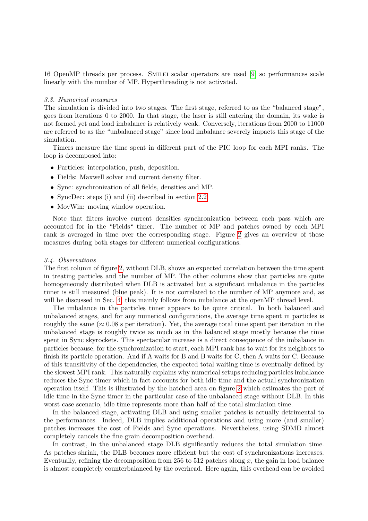16 OpenMP threads per process. Smilei scalar operators are used [\[9\]](#page-6-7) so performances scale linearly with the number of MP. Hyperthreading is not activated.

# 3.3. Numerical measures

The simulation is divided into two stages. The first stage, referred to as the "balanced stage", goes from iterations 0 to 2000. In that stage, the laser is still entering the domain, its wake is not formed yet and load imbalance is relatively weak. Conversely, iterations from 2000 to 11000 are referred to as the "unbalanced stage" since load imbalance severely impacts this stage of the simulation.

Timers measure the time spent in different part of the PIC loop for each MPI ranks. The loop is decomposed into:

- Particles: interpolation, push, deposition.
- Fields: Maxwell solver and current density filter.
- Sync: synchronization of all fields, densities and MP.
- SyncDec: steps (i) and (ii) described in section [2.2.](#page-1-2)
- MovWin: moving window operation.

Note that filters involve current densities synchronization between each pass which are accounted for in the "Fields" timer. The number of MP and patches owned by each MPI rank is averaged in time over the corresponding stage. Figure [2](#page-5-1) gives an overview of these measures during both stages for different numerical configurations.

## 3.4. Observations

The first column of figure [2,](#page-5-1) without DLB, shows an expected correlation between the time spent in treating particles and the number of MP. The other columns show that particles are quite homogeneously distributed when DLB is activated but a significant imbalance in the particles timer is still measured (blue peak). It is not correlated to the number of MP anymore and, as will be discussed in Sec. [4,](#page-5-0) this mainly follows from imbalance at the openMP thread level.

The imbalance in the particles timer appears to be quite critical. In both balanced and unbalanced stages, and for any numerical configurations, the average time spent in particles is roughly the same ( $\approx 0.08$  s per iteration). Yet, the average total time spent per iteration in the unbalanced stage is roughly twice as much as in the balanced stage mostly because the time spent in Sync skyrockets. This spectacular increase is a direct consequence of the imbalance in particles because, for the synchronization to start, each MPI rank has to wait for its neighbors to finish its particle operation. And if A waits for B and B waits for C, then A waits for C. Because of this transitivity of the dependencies, the expected total waiting time is eventually defined by the slowest MPI rank. This naturally explains why numerical setups reducing particles imbalance reduces the Sync timer which in fact accounts for both idle time and the actual synchronization operation itself. This is illustrated by the hatched area on figure [2](#page-5-1) which estimates the part of idle time in the Sync timer in the particular case of the unbalanced stage without DLB. In this worst case scenario, idle time represents more than half of the total simulation time.

In the balanced stage, activating DLB and using smaller patches is actually detrimental to the performances. Indeed, DLB implies additional operations and using more (and smaller) patches increases the cost of Fields and Sync operations. Nevertheless, using SDMD almost completely cancels the fine grain decomposition overhead.

In contrast, in the unbalanced stage DLB significantly reduces the total simulation time. As patches shrink, the DLB becomes more efficient but the cost of synchronizations increases. Eventually, refining the decomposition from 256 to 512 patches along  $x$ , the gain in load balance is almost completely counterbalanced by the overhead. Here again, this overhead can be avoided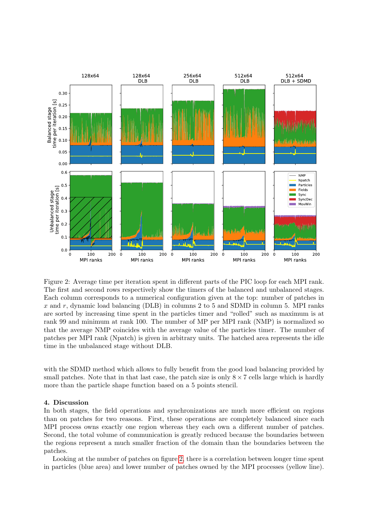<span id="page-5-1"></span>

Figure 2: Average time per iteration spent in different parts of the PIC loop for each MPI rank. The first and second rows respectively show the timers of the balanced and unbalanced stages. Each column corresponds to a numerical configuration given at the top: number of patches in x and r, dynamic load balancing (DLB) in columns 2 to 5 and SDMD in column 5. MPI ranks are sorted by increasing time spent in the particles timer and "rolled" such as maximum is at rank 99 and minimum at rank 100. The number of MP per MPI rank (NMP) is normalized so that the average NMP coincides with the average value of the particles timer. The number of patches per MPI rank (Npatch) is given in arbitrary units. The hatched area represents the idle time in the unbalanced stage without DLB.

with the SDMD method which allows to fully benefit from the good load balancing provided by small patches. Note that in that last case, the patch size is only  $8 \times 7$  cells large which is hardly more than the particle shape function based on a 5 points stencil.

# <span id="page-5-0"></span>4. Discussion

In both stages, the field operations and synchronizations are much more efficient on regions than on patches for two reasons. First, these operations are completely balanced since each MPI process owns exactly one region whereas they each own a different number of patches. Second, the total volume of communication is greatly reduced because the boundaries between the regions represent a much smaller fraction of the domain than the boundaries between the patches.

Looking at the number of patches on figure [2,](#page-5-1) there is a correlation between longer time spent in particles (blue area) and lower number of patches owned by the MPI processes (yellow line).